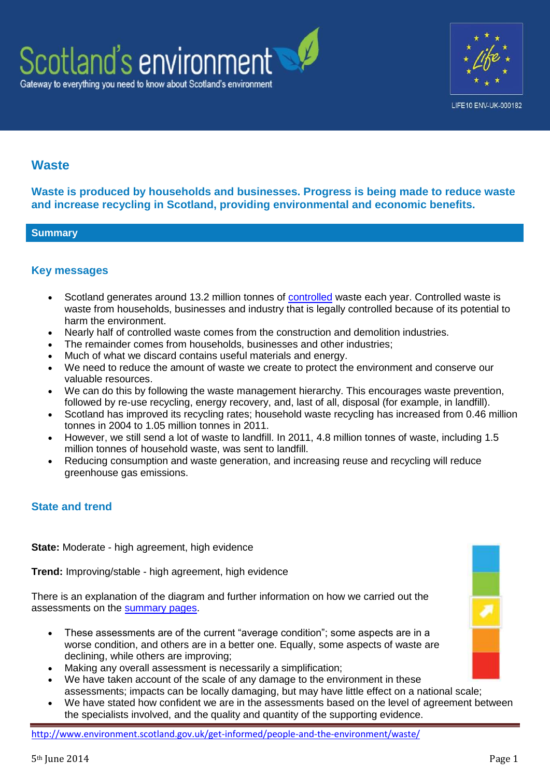



# **Waste**

**Waste is produced by households and businesses. Progress is being made to reduce waste and increase recycling in Scotland, providing environmental and economic benefits.**

#### **Summary**

### **Key messages**

- Scotland generates around 13.2 million tonnes of [controlled](http://www.legislation.gov.uk/uksi/1992/588/note/made) waste each year. Controlled waste is waste from households, businesses and industry that is legally controlled because of its potential to harm the environment.
- Nearly half of controlled waste comes from the construction and demolition industries.
- The remainder comes from households, businesses and other industries;
- Much of what we discard contains useful materials and energy.
- We need to reduce the amount of waste we create to protect the environment and conserve our valuable resources.
- We can do this by following the waste management hierarchy. This encourages waste prevention, followed by re-use recycling, energy recovery, and, last of all, disposal (for example, in landfill).
- Scotland has improved its recycling rates; household waste recycling has increased from 0.46 million tonnes in 2004 to 1.05 million tonnes in 2011.
- However, we still send a lot of waste to landfill. In 2011, 4.8 million tonnes of waste, including 1.5 million tonnes of household waste, was sent to landfill.
- Reducing consumption and waste generation, and increasing reuse and recycling will reduce greenhouse gas emissions.

### **State and trend**

**State:** Moderate - high agreement, high evidence

**Trend:** Improving/stable - high agreement, high evidence

There is an explanation of the diagram and further information on how we carried out the assessments on the [summary pages.](http://www.environment.scotland.gov.uk/get-informed/state-of-the-environment-summary/state-and-trend-assessments/)

- These assessments are of the current "average condition"; some aspects are in a worse condition, and others are in a better one. Equally, some aspects of waste are declining, while others are improving;
- Making any overall assessment is necessarily a simplification;
- We have taken account of the scale of any damage to the environment in these assessments; impacts can be locally damaging, but may have little effect on a national scale;
- We have stated how confident we are in the assessments based on the level of agreement between the specialists involved, and the quality and quantity of the supporting evidence.

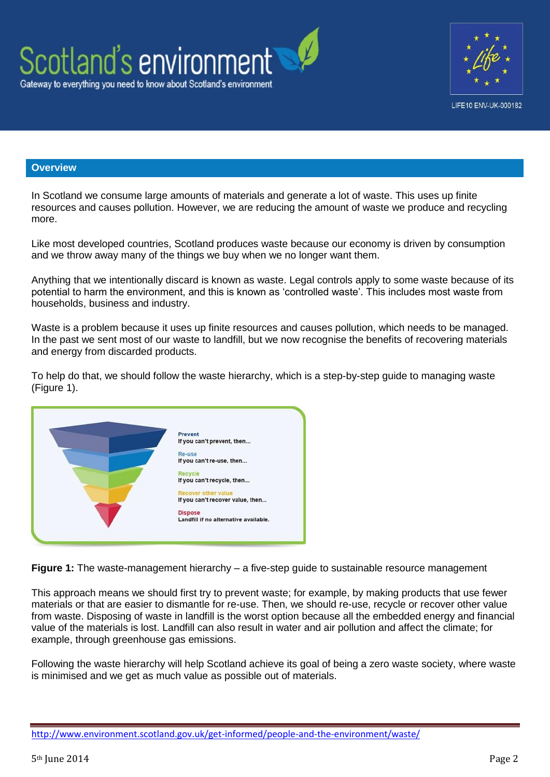



### **Overview**

In Scotland we consume large amounts of materials and generate a lot of waste. This uses up finite resources and causes pollution. However, we are reducing the amount of waste we produce and recycling more.

Like most developed countries, Scotland produces waste because our economy is driven by consumption and we throw away many of the things we buy when we no longer want them.

Anything that we intentionally discard is known as waste. Legal controls apply to some waste because of its potential to harm the environment, and this is known as 'controlled waste'. This includes most waste from households, business and industry.

Waste is a problem because it uses up finite resources and causes pollution, which needs to be managed. In the past we sent most of our waste to landfill, but we now recognise the benefits of recovering materials and energy from discarded products.

To help do that, we should follow the waste hierarchy, which is a step-by-step guide to managing waste (Figure 1).

| Prevent                               |
|---------------------------------------|
| If you can't prevent, then            |
| Re-use                                |
| If you can't re-use, then             |
|                                       |
| Recycle                               |
| If you can't recycle, then            |
| <b>Recover other value</b>            |
|                                       |
| If you can't recover value, then      |
| <b>Dispose</b>                        |
| Landfill if no alternative available. |
|                                       |
|                                       |
|                                       |

**Figure 1:** The waste-management hierarchy – a five-step guide to sustainable resource management

This approach means we should first try to prevent waste; for example, by making products that use fewer materials or that are easier to dismantle for re-use. Then, we should re-use, recycle or recover other value from waste. Disposing of waste in landfill is the worst option because all the embedded energy and financial value of the materials is lost. Landfill can also result in water and air pollution and affect the climate; for example, through greenhouse gas emissions.

Following the waste hierarchy will help Scotland achieve its goal of being a zero waste society, where waste is minimised and we get as much value as possible out of materials.

<http://www.environment.scotland.gov.uk/get-informed/people-and-the-environment/waste/>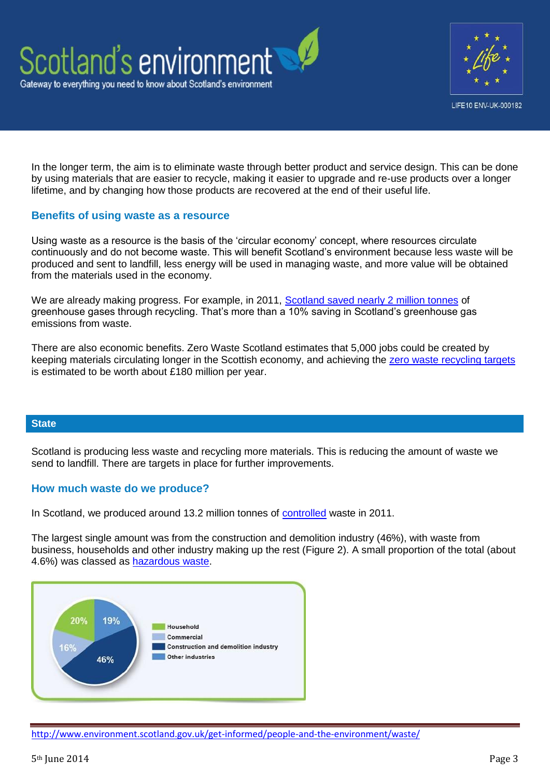



In the longer term, the aim is to eliminate waste through better product and service design. This can be done by using materials that are easier to recycle, making it easier to upgrade and re-use products over a longer lifetime, and by changing how those products are recovered at the end of their useful life.

### **Benefits of using waste as a resource**

Using waste as a resource is the basis of the 'circular economy' concept, where resources circulate continuously and do not become waste. This will benefit Scotland's environment because less waste will be produced and sent to landfill, less energy will be used in managing waste, and more value will be obtained from the materials used in the economy.

We are already making progress. For example, in 2011, [Scotland saved nearly 2 million tonnes](http://www.zerowastescotland.org.uk/content/national-carbon-impacts) of greenhouse gases through recycling. That's more than a 10% saving in Scotland's greenhouse gas emissions from waste.

There are also economic benefits. Zero Waste Scotland estimates that 5,000 jobs could be created by keeping materials circulating longer in the Scottish economy, and achieving the [zero waste recycling targets](http://www.scotland.gov.uk/Publications/2010/06/08092645/11) is estimated to be worth about £180 million per year.

#### **State**

Scotland is producing less waste and recycling more materials. This is reducing the amount of waste we send to landfill. There are targets in place for further improvements.

#### **How much waste do we produce?**

In Scotland, we produced around 13.2 million tonnes of [controlled](http://www.legislation.gov.uk/uksi/1992/588/note/made) waste in 2011.

The largest single amount was from the construction and demolition industry (46%), with waste from business, households and other industry making up the rest (Figure 2). A small proportion of the total (about 4.6%) was classed as [hazardous waste.](http://www.sepa.org.uk/waste/waste_regulation/special_waste.aspx)



<http://www.environment.scotland.gov.uk/get-informed/people-and-the-environment/waste/>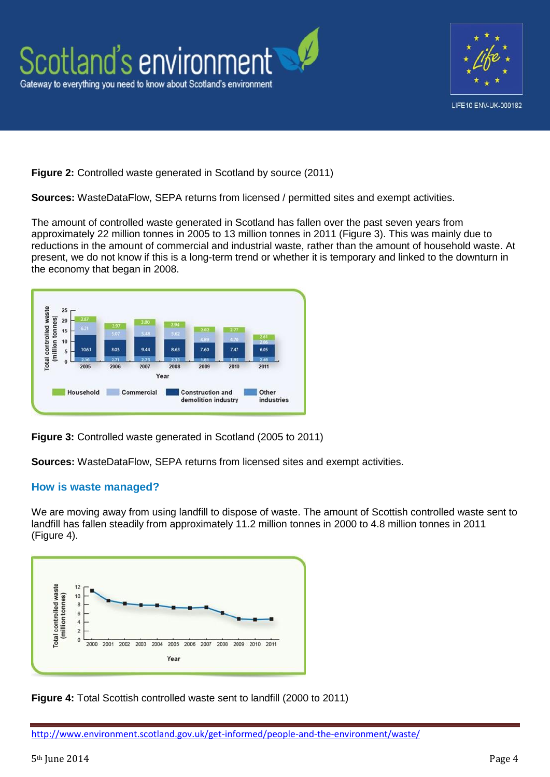

**Figure 2:** Controlled waste generated in Scotland by source (2011)

**Sources:** WasteDataFlow, SEPA returns from licensed / permitted sites and exempt activities.

The amount of controlled waste generated in Scotland has fallen over the past seven years from approximately 22 million tonnes in 2005 to 13 million tonnes in 2011 (Figure 3). This was mainly due to reductions in the amount of commercial and industrial waste, rather than the amount of household waste. At present, we do not know if this is a long-term trend or whether it is temporary and linked to the downturn in the economy that began in 2008.



**Figure 3:** Controlled waste generated in Scotland (2005 to 2011)

**Sources:** WasteDataFlow, SEPA returns from licensed sites and exempt activities.

### **How is waste managed?**

We are moving away from using landfill to dispose of waste. The amount of Scottish controlled waste sent to landfill has fallen steadily from approximately 11.2 million tonnes in 2000 to 4.8 million tonnes in 2011 (Figure 4).



**Figure 4:** Total Scottish controlled waste sent to landfill (2000 to 2011)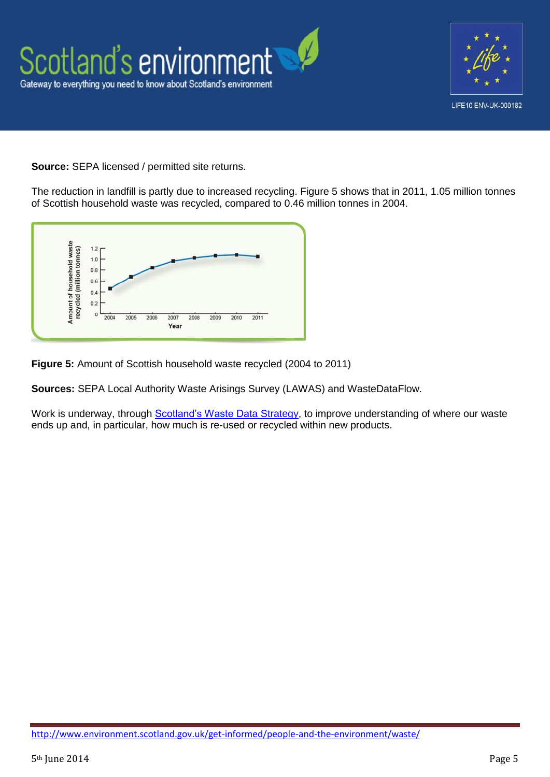

**Source:** SEPA licensed / permitted site returns.

The reduction in landfill is partly due to increased recycling. Figure 5 shows that in 2011, 1.05 million tonnes of Scottish household waste was recycled, compared to 0.46 million tonnes in 2004.



**Figure 5:** Amount of Scottish household waste recycled (2004 to 2011)

**Sources:** SEPA Local Authority Waste Arisings Survey (LAWAS) and WasteDataFlow.

Work is underway, through **Scotland's Waste Data Strategy**, to improve understanding of where our waste ends up and, in particular, how much is re-used or recycled within new products.

<http://www.environment.scotland.gov.uk/get-informed/people-and-the-environment/waste/>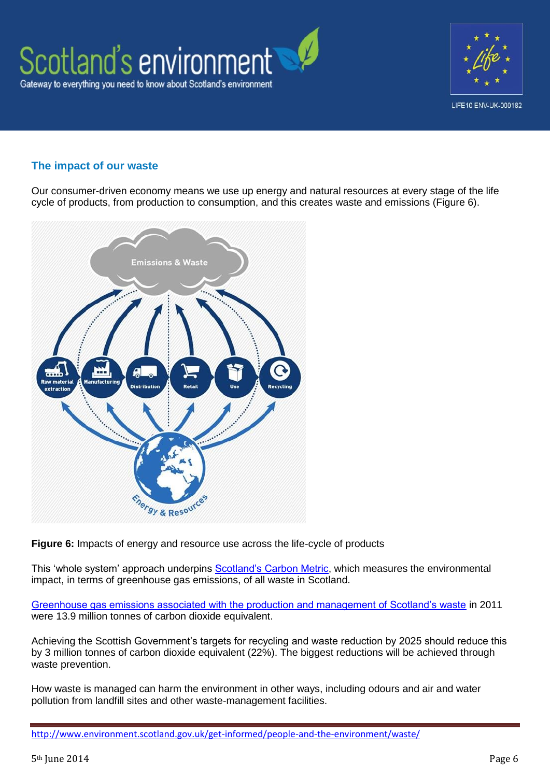

### **The impact of our waste**

Our consumer-driven economy means we use up energy and natural resources at every stage of the life cycle of products, from production to consumption, and this creates waste and emissions (Figure 6).



**Figure 6:** Impacts of energy and resource use across the life-cycle of products

This 'whole system' approach underpins [Scotland's Carbon Metric,](http://www.zerowastescotland.org.uk/carbonmetric) which measures the environmental impact, in terms of greenhouse gas emissions, of all waste in Scotland.

[Greenhouse gas emissions associated with the production and management of Scotland's waste](http://www.zerowastescotland.org.uk/content/national-carbon-impacts) in 2011 were 13.9 million tonnes of carbon dioxide equivalent.

Achieving the Scottish Government's targets for recycling and waste reduction by 2025 should reduce this by 3 million tonnes of carbon dioxide equivalent (22%). The biggest reductions will be achieved through waste prevention.

How waste is managed can harm the environment in other ways, including odours and air and water pollution from landfill sites and other waste-management facilities.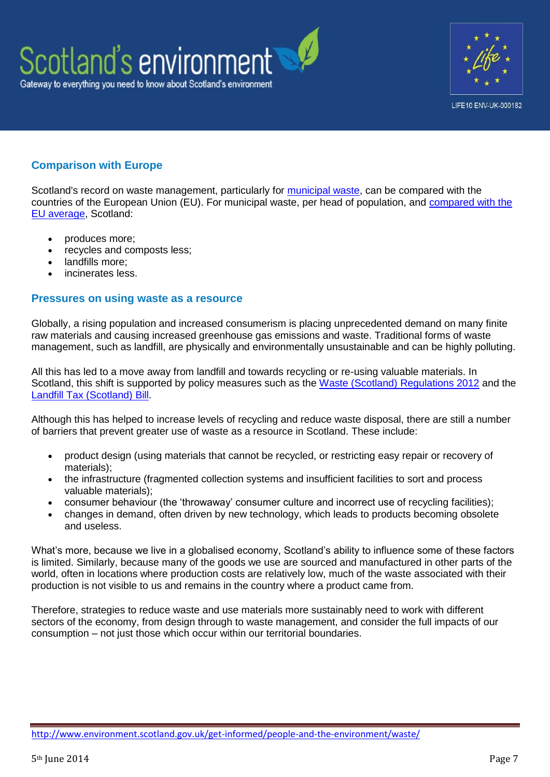



## **Comparison with Europe**

Scotland's record on waste management, particularly for [municipal waste,](http://www.sepa.org.uk/waste/waste_data/municipal_waste.aspx) can be compared with the countries of the European Union (EU). For municipal waste, per head of population, and [compared with the](http://www.environment.scotland.gov.uk/media/17374/Waste-comparison-europe.pdf)  [EU average,](http://www.environment.scotland.gov.uk/media/17374/Waste-comparison-europe.pdf) Scotland:

- produces more;
- recycles and composts less;
- landfills more;
- incinerates less.

### **Pressures on using waste as a resource**

Globally, a rising population and increased consumerism is placing unprecedented demand on many finite raw materials and causing increased greenhouse gas emissions and waste. Traditional forms of waste management, such as landfill, are physically and environmentally unsustainable and can be highly polluting.

All this has led to a move away from landfill and towards recycling or re-using valuable materials. In Scotland, this shift is supported by policy measures such as the [Waste \(Scotland\) Regulations 2012](http://www.legislation.gov.uk/ssi/2012/148/contents/made) and the [Landfill Tax \(Scotland\) Bill.](http://www.scottish.parliament.uk/parliamentarybusiness/Bills/62160.aspx)

Although this has helped to increase levels of recycling and reduce waste disposal, there are still a number of barriers that prevent greater use of waste as a resource in Scotland. These include:

- product design (using materials that cannot be recycled, or restricting easy repair or recovery of materials);
- the infrastructure (fragmented collection systems and insufficient facilities to sort and process valuable materials);
- consumer behaviour (the 'throwaway' consumer culture and incorrect use of recycling facilities);
- changes in demand, often driven by new technology, which leads to products becoming obsolete and useless.

What's more, because we live in a globalised economy, Scotland's ability to influence some of these factors is limited. Similarly, because many of the goods we use are sourced and manufactured in other parts of the world, often in locations where production costs are relatively low, much of the waste associated with their production is not visible to us and remains in the country where a product came from.

Therefore, strategies to reduce waste and use materials more sustainably need to work with different sectors of the economy, from design through to waste management, and consider the full impacts of our consumption – not just those which occur within our territorial boundaries.

<http://www.environment.scotland.gov.uk/get-informed/people-and-the-environment/waste/>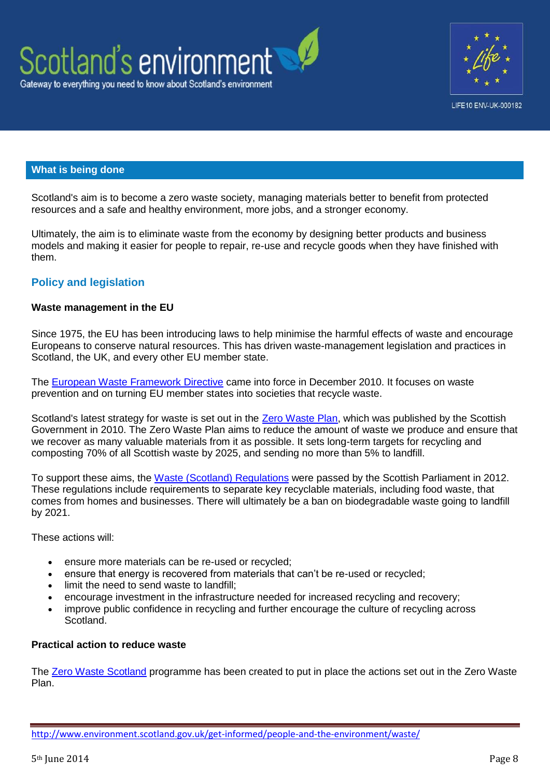



### **What is being done**

Scotland's aim is to become a zero waste society, managing materials better to benefit from protected resources and a safe and healthy environment, more jobs, and a stronger economy.

Ultimately, the aim is to eliminate waste from the economy by designing better products and business models and making it easier for people to repair, re-use and recycle goods when they have finished with them.

### **Policy and legislation**

#### **Waste management in the EU**

Since 1975, the EU has been introducing laws to help minimise the harmful effects of waste and encourage Europeans to conserve natural resources. This has driven waste-management legislation and practices in Scotland, the UK, and every other EU member state.

The [European Waste Framework Directive](http://ec.europa.eu/environment/waste/framework) came into force in December 2010. It focuses on waste prevention and on turning EU member states into societies that recycle waste.

Scotland's latest strategy for waste is set out in the [Zero Waste Plan,](http://www.scotland.gov.uk/Publications/2010/06/08092645/0) which was published by the Scottish Government in 2010. The Zero Waste Plan aims to reduce the amount of waste we produce and ensure that we recover as many valuable materials from it as possible. It sets long-term targets for recycling and composting 70% of all Scottish waste by 2025, and sending no more than 5% to landfill.

To support these aims, the [Waste \(Scotland\) Regulations](http://www.legislation.gov.uk/ssi/2012/148/introduction/made) were passed by the Scottish Parliament in 2012. These regulations include requirements to separate key recyclable materials, including food waste, that comes from homes and businesses. There will ultimately be a ban on biodegradable waste going to landfill by 2021.

These actions will:

- ensure more materials can be re-used or recycled;
- ensure that energy is recovered from materials that can't be re-used or recycled;
- limit the need to send waste to landfill;
- encourage investment in the infrastructure needed for increased recycling and recovery;
- improve public confidence in recycling and further encourage the culture of recycling across Scotland.

#### **Practical action to reduce waste**

The [Zero Waste Scotland](http://www.scotland.gov.uk/Publications/2010/06/08092645/0) programme has been created to put in place the actions set out in the Zero Waste Plan.